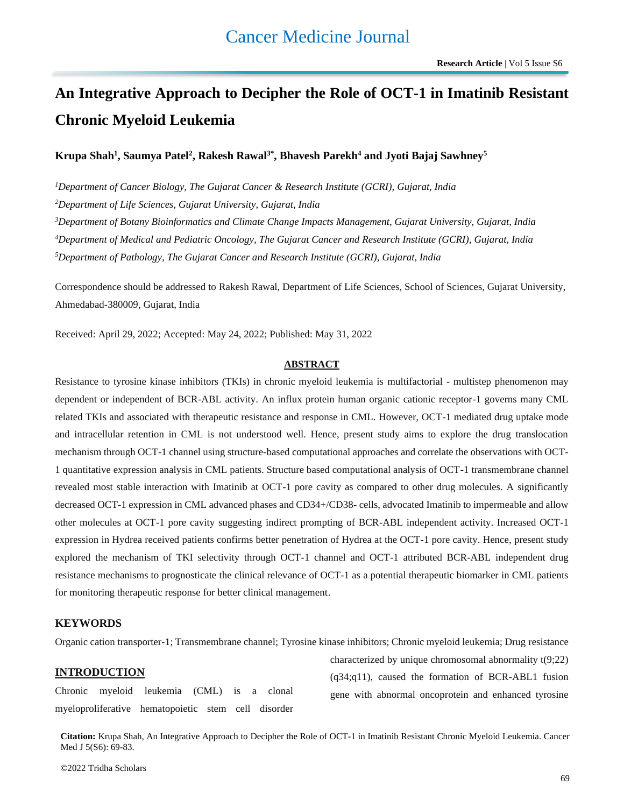# **An Integrative Approach to Decipher the Role of OCT-1 in Imatinib Resistant Chronic Myeloid Leukemia**

Krupa Shah<sup>1</sup>, Saumya Patel<sup>2</sup>, Rakesh Rawal<sup>3\*</sup>, Bhavesh Parekh<sup>4</sup> and Jyoti Bajaj Sawhney<sup>5</sup>

*Department of Cancer Biology, The Gujarat Cancer & Research Institute (GCRI), Gujarat, India Department of Life Sciences, Gujarat University, Gujarat, India Department of Botany Bioinformatics and Climate Change Impacts Management, Gujarat University, Gujarat, India Department of Medical and Pediatric Oncology, The Gujarat Cancer and Research Institute (GCRI), Gujarat, India Department of Pathology, The Gujarat Cancer and Research Institute (GCRI), Gujarat, India*

Correspondence should be addressed to Rakesh Rawal, Department of Life Sciences, School of Sciences, Gujarat University, Ahmedabad-380009, Gujarat, India

Received: April 29, 2022; Accepted: May 24, 2022; Published: May 31, 2022

### **ABSTRACT**

Resistance to tyrosine kinase inhibitors (TKIs) in chronic myeloid leukemia is multifactorial - multistep phenomenon may dependent or independent of BCR-ABL activity. An influx protein human organic cationic receptor-1 governs many CML related TKIs and associated with therapeutic resistance and response in CML. However, OCT-1 mediated drug uptake mode and intracellular retention in CML is not understood well. Hence, present study aims to explore the drug translocation mechanism through OCT-1 channel using structure-based computational approaches and correlate the observations with OCT-1 quantitative expression analysis in CML patients. Structure based computational analysis of OCT-1 transmembrane channel revealed most stable interaction with Imatinib at OCT-1 pore cavity as compared to other drug molecules. A significantly decreased OCT-1 expression in CML advanced phases and CD34+/CD38- cells, advocated Imatinib to impermeable and allow other molecules at OCT-1 pore cavity suggesting indirect prompting of BCR-ABL independent activity. Increased OCT-1 expression in Hydrea received patients confirms better penetration of Hydrea at the OCT-1 pore cavity. Hence, present study explored the mechanism of TKI selectivity through OCT-1 channel and OCT-1 attributed BCR-ABL independent drug resistance mechanisms to prognosticate the clinical relevance of OCT-1 as a potential therapeutic biomarker in CML patients for monitoring therapeutic response for better clinical management.

### **KEYWORDS**

Organic cation transporter-1; Transmembrane channel; Tyrosine kinase inhibitors; Chronic myeloid leukemia; Drug resistance

### **INTRODUCTION**

Chronic myeloid leukemia (CML) is a clonal myeloproliferative hematopoietic stem cell disorder characterized by unique chromosomal abnormality t(9;22) (q34;q11), caused the formation of BCR-ABL1 fusion gene with abnormal oncoprotein and enhanced tyrosine

**Citation:** Krupa Shah, An Integrative Approach to Decipher the Role of OCT-1 in Imatinib Resistant Chronic Myeloid Leukemia. Cancer Med J 5(S6): 69-83.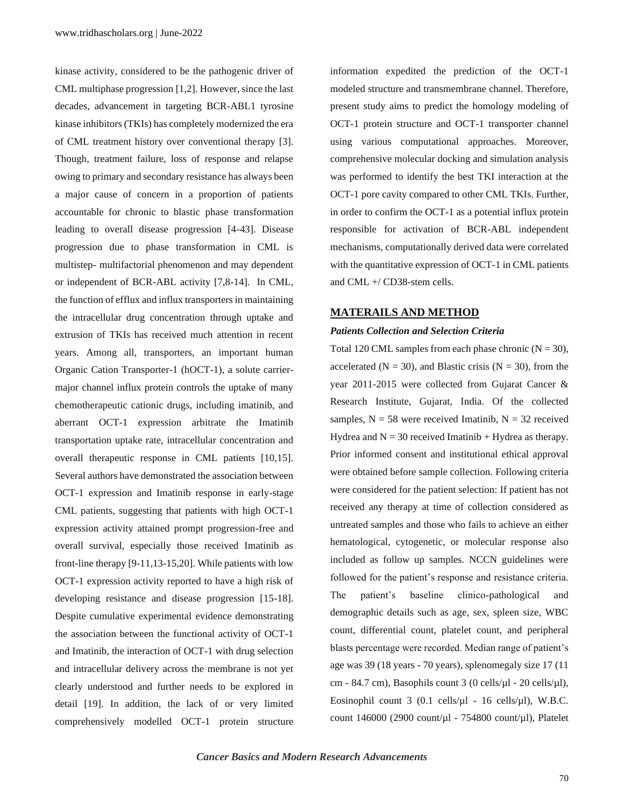kinase activity, considered to be the pathogenic driver of CML multiphase progression [1,2]. However, since the last decades, advancement in targeting BCR-ABL1 tyrosine kinase inhibitors (TKIs) has completely modernized the era of CML treatment history over conventional therapy [3]. Though, treatment failure, loss of response and relapse owing to primary and secondary resistance has always been a major cause of concern in a proportion of patients accountable for chronic to blastic phase transformation leading to overall disease progression [4-43]. Disease progression due to phase transformation in CML is multistep- multifactorial phenomenon and may dependent or independent of BCR-ABL activity [7,8-14]. In CML, the function of efflux and influx transporters in maintaining the intracellular drug concentration through uptake and extrusion of TKIs has received much attention in recent years. Among all, transporters, an important human Organic Cation Transporter-1 (hOCT-1), a solute carriermajor channel influx protein controls the uptake of many chemotherapeutic cationic drugs, including imatinib, and aberrant OCT-1 expression arbitrate the Imatinib transportation uptake rate, intracellular concentration and overall therapeutic response in CML patients [10,15]. Several authors have demonstrated the association between OCT-1 expression and Imatinib response in early-stage CML patients, suggesting that patients with high OCT-1 expression activity attained prompt progression-free and overall survival, especially those received Imatinib as front-line therapy [9-11,13-15,20]. While patients with low OCT-1 expression activity reported to have a high risk of developing resistance and disease progression [15-18]. Despite cumulative experimental evidence demonstrating the association between the functional activity of OCT-1 and Imatinib, the interaction of OCT-1 with drug selection and intracellular delivery across the membrane is not yet clearly understood and further needs to be explored in detail [19]. In addition, the lack of or very limited comprehensively modelled OCT-1 protein structure information expedited the prediction of the OCT-1 modeled structure and transmembrane channel. Therefore, present study aims to predict the homology modeling of OCT-1 protein structure and OCT-1 transporter channel using various computational approaches. Moreover, comprehensive molecular docking and simulation analysis was performed to identify the best TKI interaction at the OCT-1 pore cavity compared to other CML TKIs. Further, in order to confirm the OCT-1 as a potential influx protein responsible for activation of BCR-ABL independent mechanisms, computationally derived data were correlated with the quantitative expression of OCT-1 in CML patients and CML +/ CD38-stem cells.

### **MATERAILS AND METHOD**

### *Patients Collection and Selection Criteria*

Total 120 CML samples from each phase chronic  $(N = 30)$ , accelerated ( $N = 30$ ), and Blastic crisis ( $N = 30$ ), from the year 2011-2015 were collected from Gujarat Cancer & Research Institute, Gujarat, India. Of the collected samples,  $N = 58$  were received Imatinib,  $N = 32$  received Hydrea and  $N = 30$  received Imatinib + Hydrea as therapy. Prior informed consent and institutional ethical approval were obtained before sample collection. Following criteria were considered for the patient selection: If patient has not received any therapy at time of collection considered as untreated samples and those who fails to achieve an either hematological, cytogenetic, or molecular response also included as follow up samples. NCCN guidelines were followed for the patient's response and resistance criteria. The patient's baseline clinico-pathological and demographic details such as age, sex, spleen size, WBC count, differential count, platelet count, and peripheral blasts percentage were recorded. Median range of patient's age was 39 (18 years - 70 years), splenomegaly size 17 (11 cm - 84.7 cm), Basophils count 3 (0 cells/ $\mu$ l - 20 cells/ $\mu$ l), Eosinophil count 3 (0.1 cells/µl - 16 cells/µl), W.B.C. count 146000 (2900 count/µl - 754800 count/µl), Platelet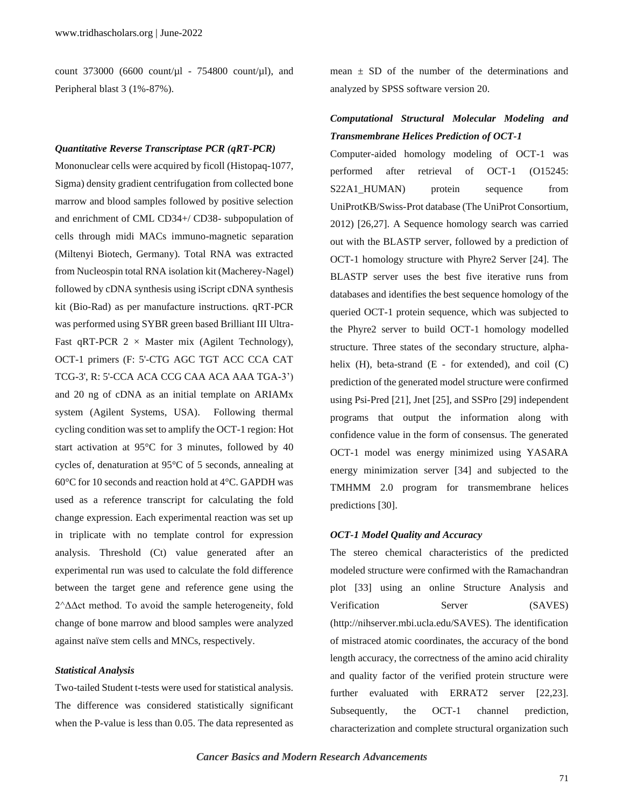count 373000 (6600 count/ $\mu$ l - 754800 count/ $\mu$ l), and Peripheral blast 3 (1%-87%).

### *Quantitative Reverse Transcriptase PCR (qRT-PCR)*

Mononuclear cells were acquired by ficoll (Histopaq-1077, Sigma) density gradient centrifugation from collected bone marrow and blood samples followed by positive selection and enrichment of CML CD34+/ CD38- subpopulation of cells through midi MACs immuno-magnetic separation (Miltenyi Biotech, Germany). Total RNA was extracted from Nucleospin total RNA isolation kit (Macherey-Nagel) followed by cDNA synthesis using iScript cDNA synthesis kit (Bio-Rad) as per manufacture instructions. qRT-PCR was performed using SYBR green based Brilliant III Ultra-Fast qRT-PCR  $2 \times$  Master mix (Agilent Technology), OCT-1 primers (F: 5'-CTG AGC TGT ACC CCA CAT TCG-3', R: 5'-CCA ACA CCG CAA ACA AAA TGA-3') and 20 ng of cDNA as an initial template on ARIAMx system (Agilent Systems, USA). Following thermal cycling condition was set to amplify the OCT-1 region: Hot start activation at 95°C for 3 minutes, followed by 40 cycles of, denaturation at 95°C of 5 seconds, annealing at 60°C for 10 seconds and reaction hold at 4°C. GAPDH was used as a reference transcript for calculating the fold change expression. Each experimental reaction was set up in triplicate with no template control for expression analysis. Threshold (Ct) value generated after an experimental run was used to calculate the fold difference between the target gene and reference gene using the 2^ΔΔct method. To avoid the sample heterogeneity, fold change of bone marrow and blood samples were analyzed against naïve stem cells and MNCs, respectively.

### *Statistical Analysis*

Two-tailed Student t-tests were used for statistical analysis. The difference was considered statistically significant when the P-value is less than 0.05. The data represented as mean  $\pm$  SD of the number of the determinations and analyzed by SPSS software version 20.

# *Computational Structural Molecular Modeling and Transmembrane Helices Prediction of OCT-1*

Computer-aided homology modeling of OCT-1 was performed after retrieval of OCT-1 (O15245: S22A1\_HUMAN) protein sequence from UniProtKB/Swiss-Prot database (The UniProt Consortium, 2012) [26,27]. A Sequence homology search was carried out with the BLASTP server, followed by a prediction of OCT-1 homology structure with Phyre2 Server [24]. The BLASTP server uses the best five iterative runs from databases and identifies the best sequence homology of the queried OCT-1 protein sequence, which was subjected to the Phyre2 server to build OCT-1 homology modelled structure. Three states of the secondary structure, alphahelix  $(H)$ , beta-strand  $(E$  - for extended), and coil  $(C)$ prediction of the generated model structure were confirmed using Psi-Pred [21], Jnet [25], and SSPro [29] independent programs that output the information along with confidence value in the form of consensus. The generated OCT-1 model was energy minimized using YASARA energy minimization server [34] and subjected to the TMHMM 2.0 program for transmembrane helices predictions [30].

### *OCT-1 Model Quality and Accuracy*

The stereo chemical characteristics of the predicted modeled structure were confirmed with the Ramachandran plot [33] using an online Structure Analysis and Verification Server (SAVES) (http://nihserver.mbi.ucla.edu/SAVES). The identification of mistraced atomic coordinates, the accuracy of the bond length accuracy, the correctness of the amino acid chirality and quality factor of the verified protein structure were further evaluated with ERRAT2 server [22,23]. Subsequently, the OCT-1 channel prediction, characterization and complete structural organization such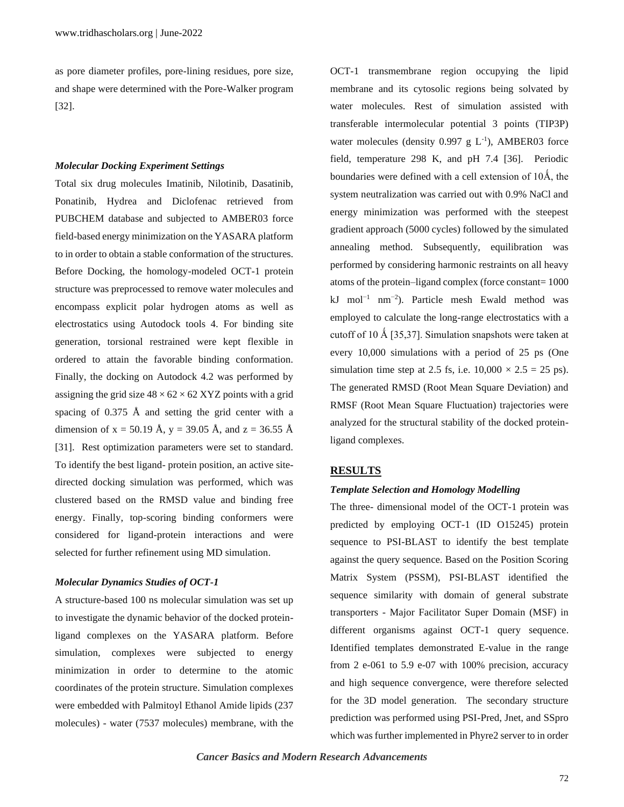as pore diameter profiles, pore-lining residues, pore size, and shape were determined with the Pore-Walker program [32].

#### *Molecular Docking Experiment Settings*

Total six drug molecules Imatinib, Nilotinib, Dasatinib, Ponatinib, Hydrea and Diclofenac retrieved from PUBCHEM database and subjected to AMBER03 force field-based energy minimization on the YASARA platform to in order to obtain a stable conformation of the structures. Before Docking, the homology-modeled OCT-1 protein structure was preprocessed to remove water molecules and encompass explicit polar hydrogen atoms as well as electrostatics using Autodock tools 4. For binding site generation, torsional restrained were kept flexible in ordered to attain the favorable binding conformation. Finally, the docking on Autodock 4.2 was performed by assigning the grid size  $48 \times 62 \times 62$  XYZ points with a grid spacing of 0.375 Å and setting the grid center with a dimension of x = 50.19 Å, y = 39.05 Å, and z = 36.55 Å [31]. Rest optimization parameters were set to standard. To identify the best ligand- protein position, an active sitedirected docking simulation was performed, which was clustered based on the RMSD value and binding free energy. Finally, top-scoring binding conformers were considered for ligand-protein interactions and were selected for further refinement using MD simulation.

### *Molecular Dynamics Studies of OCT-1*

A structure-based 100 ns molecular simulation was set up to investigate the dynamic behavior of the docked proteinligand complexes on the YASARA platform. Before simulation, complexes were subjected to energy minimization in order to determine to the atomic coordinates of the protein structure. Simulation complexes were embedded with Palmitoyl Ethanol Amide lipids (237 molecules) - water (7537 molecules) membrane, with the OCT-1 transmembrane region occupying the lipid membrane and its cytosolic regions being solvated by water molecules. Rest of simulation assisted with transferable intermolecular potential 3 points (TIP3P) water molecules (density  $0.997 \text{ g L}^{-1}$ ), AMBER03 force field, temperature 298 K, and pH 7.4 [36]. Periodic boundaries were defined with a cell extension of 10Å, the system neutralization was carried out with 0.9% NaCl and energy minimization was performed with the steepest gradient approach (5000 cycles) followed by the simulated annealing method. Subsequently, equilibration was performed by considering harmonic restraints on all heavy atoms of the protein–ligand complex (force constant= 1000 kJ mol−1 nm−2 ). Particle mesh Ewald method was employed to calculate the long-range electrostatics with a cutoff of 10 Å [35,37]. Simulation snapshots were taken at every 10,000 simulations with a period of 25 ps (One simulation time step at 2.5 fs, i.e.  $10,000 \times 2.5 = 25$  ps). The generated RMSD (Root Mean Square Deviation) and RMSF (Root Mean Square Fluctuation) trajectories were analyzed for the structural stability of the docked proteinligand complexes.

# **RESULTS**

#### *Template Selection and Homology Modelling*

The three- dimensional model of the OCT-1 protein was predicted by employing OCT-1 (ID O15245) protein sequence to PSI-BLAST to identify the best template against the query sequence. Based on the Position Scoring Matrix System (PSSM), PSI-BLAST identified the sequence similarity with domain of general substrate transporters - Major Facilitator Super Domain (MSF) in different organisms against OCT-1 query sequence. Identified templates demonstrated E-value in the range from 2 e-061 to 5.9 e-07 with 100% precision, accuracy and high sequence convergence, were therefore selected for the 3D model generation. The secondary structure prediction was performed using PSI-Pred, Jnet, and SSpro which was further implemented in Phyre2 server to in order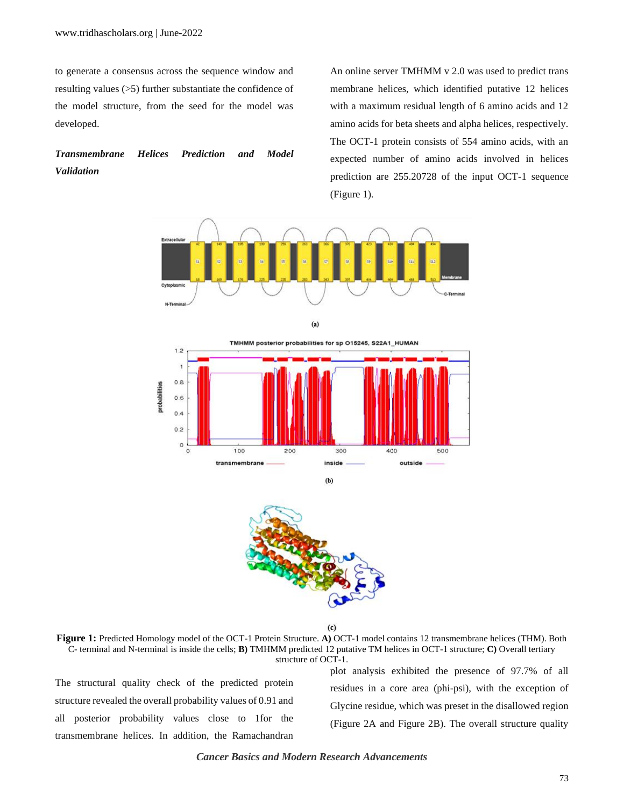to generate a consensus across the sequence window and resulting values (>5) further substantiate the confidence of the model structure, from the seed for the model was developed.

# *Transmembrane Helices Prediction and Model Validation*

An online server TMHMM v 2.0 was used to predict trans membrane helices, which identified putative 12 helices with a maximum residual length of 6 amino acids and 12 amino acids for beta sheets and alpha helices, respectively. The OCT-1 protein consists of 554 amino acids, with an expected number of amino acids involved in helices prediction are 255.20728 of the input OCT-1 sequence (Figure 1).





 $(b)$ 

 $(c)$ 

**Figure 1:** Predicted Homology model of the OCT-1 Protein Structure. **A)** OCT-1 model contains 12 transmembrane helices (THM). Both C- terminal and N-terminal is inside the cells; **B)** TMHMM predicted 12 putative TM helices in OCT-1 structure; **C)** Overall tertiary structure of OCT-1.

The structural quality check of the predicted protein structure revealed the overall probability values of 0.91 and all posterior probability values close to 1for the transmembrane helices. In addition, the Ramachandran plot analysis exhibited the presence of 97.7% of all residues in a core area (phi-psi), with the exception of Glycine residue, which was preset in the disallowed region (Figure 2A and Figure 2B). The overall structure quality

# *Cancer Basics and Modern Research Advancements*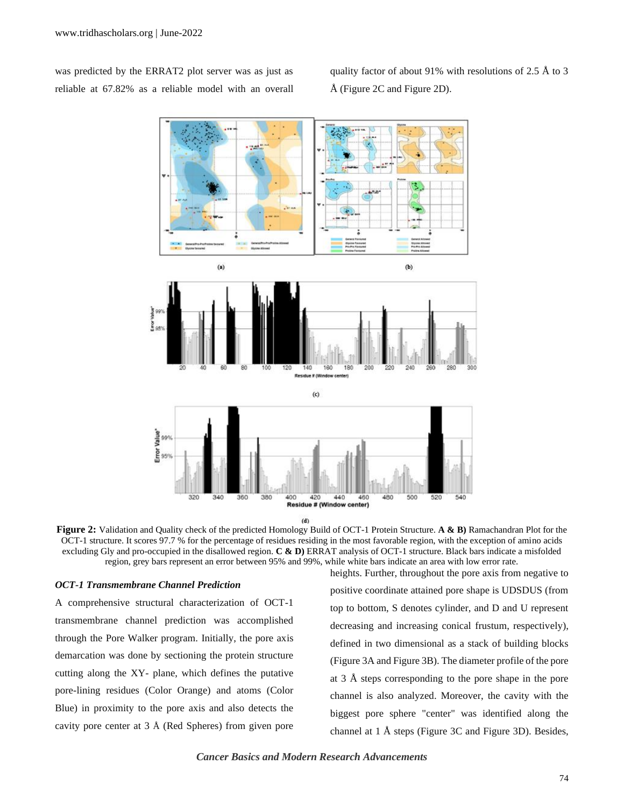was predicted by the ERRAT2 plot server was as just as reliable at 67.82% as a reliable model with an overall quality factor of about 91% with resolutions of 2.5 Å to 3 Å (Figure 2C and Figure 2D).



**Figure 2:** Validation and Quality check of the predicted Homology Build of OCT-1 Protein Structure. **A & B)** Ramachandran Plot for the OCT-1 structure. It scores 97.7 % for the percentage of residues residing in the most favorable region, with the exception of amino acids excluding Gly and pro-occupied in the disallowed region. **C & D)** ERRAT analysis of OCT-1 structure. Black bars indicate a misfolded region, grey bars represent an error between 95% and 99%, while white bars indicate an area with low error rate.

#### *OCT-1 Transmembrane Channel Prediction*

A comprehensive structural characterization of OCT-1 transmembrane channel prediction was accomplished through the Pore Walker program. Initially, the pore axis demarcation was done by sectioning the protein structure cutting along the XY- plane, which defines the putative pore-lining residues (Color Orange) and atoms (Color Blue) in proximity to the pore axis and also detects the cavity pore center at 3 Å (Red Spheres) from given pore

heights. Further, throughout the pore axis from negative to positive coordinate attained pore shape is UDSDUS (from top to bottom, S denotes cylinder, and D and U represent decreasing and increasing conical frustum, respectively), defined in two dimensional as a stack of building blocks (Figure 3A and Figure 3B). The diameter profile of the pore at 3 Å steps corresponding to the pore shape in the pore channel is also analyzed. Moreover, the cavity with the biggest pore sphere "center" was identified along the channel at 1 Å steps (Figure 3C and Figure 3D). Besides,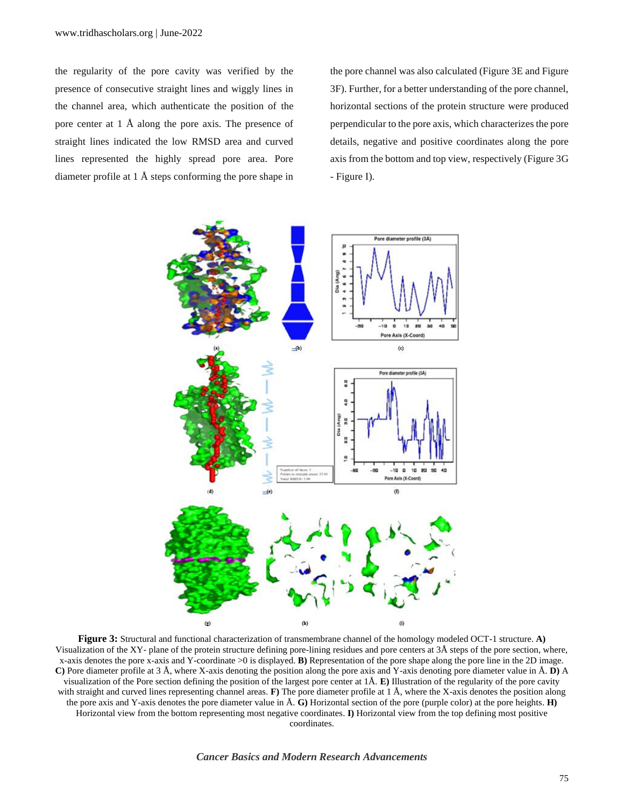the regularity of the pore cavity was verified by the presence of consecutive straight lines and wiggly lines in the channel area, which authenticate the position of the pore center at 1 Å along the pore axis. The presence of straight lines indicated the low RMSD area and curved lines represented the highly spread pore area. Pore diameter profile at 1 Å steps conforming the pore shape in the pore channel was also calculated (Figure 3E and Figure 3F). Further, for a better understanding of the pore channel, horizontal sections of the protein structure were produced perpendicular to the pore axis, which characterizes the pore details, negative and positive coordinates along the pore axis from the bottom and top view, respectively (Figure 3G - Figure I).



**Figure 3:** Structural and functional characterization of transmembrane channel of the homology modeled OCT-1 structure. **A)** Visualization of the XY- plane of the protein structure defining pore-lining residues and pore centers at 3Å steps of the pore section, where, x-axis denotes the pore x-axis and Y-coordinate >0 is displayed. **B)** Representation of the pore shape along the pore line in the 2D image. **C)** Pore diameter profile at 3 Å, where X-axis denoting the position along the pore axis and Y-axis denoting pore diameter value in Å. **D)** A visualization of the Pore section defining the position of the largest pore center at 1Å. **E)** Illustration of the regularity of the pore cavity with straight and curved lines representing channel areas. **F**) The pore diameter profile at 1 Å, where the X-axis denotes the position along the pore axis and Y-axis denotes the pore diameter value in Å. **G)** Horizontal section of the pore (purple color) at the pore heights. **H)** Horizontal view from the bottom representing most negative coordinates. **I)** Horizontal view from the top defining most positive coordinates.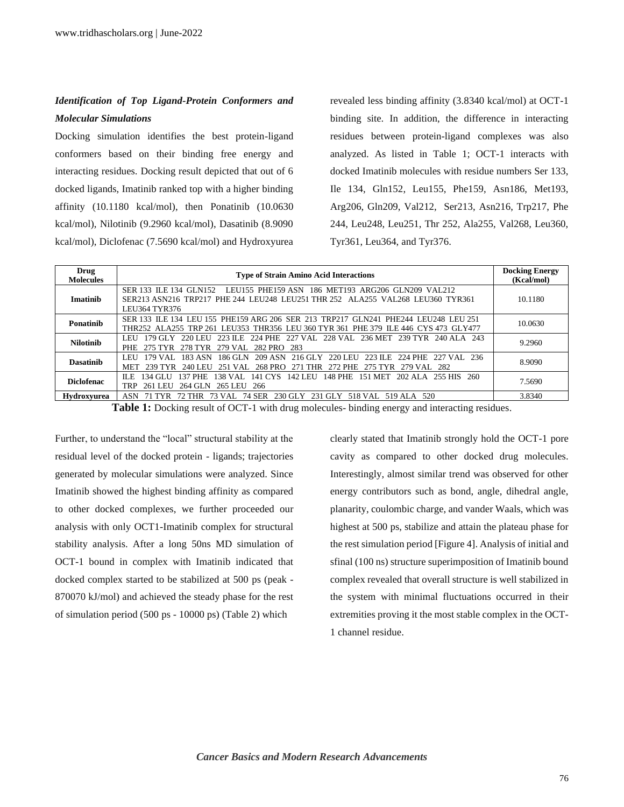# *Identification of Top Ligand-Protein Conformers and Molecular Simulations*

Docking simulation identifies the best protein-ligand conformers based on their binding free energy and interacting residues. Docking result depicted that out of 6 docked ligands, Imatinib ranked top with a higher binding affinity (10.1180 kcal/mol), then Ponatinib (10.0630 kcal/mol), Nilotinib (9.2960 kcal/mol), Dasatinib (8.9090 kcal/mol), Diclofenac (7.5690 kcal/mol) and Hydroxyurea revealed less binding affinity (3.8340 kcal/mol) at OCT-1 binding site. In addition, the difference in interacting residues between protein-ligand complexes was also analyzed. As listed in Table 1; OCT-1 interacts with docked Imatinib molecules with residue numbers Ser 133, Ile 134, Gln152, Leu155, Phe159, Asn186, Met193, Arg206, Gln209, Val212, Ser213, Asn216, Trp217, Phe 244, Leu248, Leu251, Thr 252, Ala255, Val268, Leu360, Tyr361, Leu364, and Tyr376.

| Drug<br><b>Molecules</b> | <b>Type of Strain Amino Acid Interactions</b>                                                                                                                                         | <b>Docking Energy</b><br>(Kcal/mol) |
|--------------------------|---------------------------------------------------------------------------------------------------------------------------------------------------------------------------------------|-------------------------------------|
| Imatinib                 | LEU155 PHE159 ASN 186 MET193 ARG206 GLN209 VAL212<br>SER 133 ILE 134 GLN152<br>SER213 ASN216 TRP217 PHE 244 LEU248 LEU251 THR 252 ALA255 VAL268 LEU360 TYR361<br><b>LEU364 TYR376</b> | 10.1180                             |
| Ponatinib                | SER 133 ILE 134 LEU 155 PHE159 ARG 206 SER 213 TRP217 GLN241 PHE244 LEU248 LEU 251<br>THR252 ALA255 TRP 261 LEU353 THR356 LEU 360 TYR 361 PHE 379 ILE 446 CYS 473 GLY477              | 10.0630                             |
| <b>Nilotinib</b>         | 223 ILE 224 PHE 227 VAL 228 VAL 236 MET 239 TYR 240 ALA 243<br>220 LEU<br>179 GLY<br>LEU<br>279 VAL 282 PRO 283<br>278 TYR<br>PHE 275 TYR                                             | 9.2960                              |
| <b>Dasatinib</b>         | 183 ASN 186 GLN 209 ASN 216 GLY 220 LEU 223 ILE 224 PHE 227 VAL 236<br>LEU<br>179 VAL.<br>251 VAL 268 PRO 271 THR<br>240 LEU<br>272 PHE 275 TYR 279 VAL 282<br>MET 239 TYR            | 8.9090                              |
| <b>Diclofenac</b>        | 141 CYS 142 LEU<br>134 GL U<br>137 PHE<br>38 VAL.<br>148 PHE<br>151 MET<br>202 ALA 255 HIS 260<br>ILE.<br>264 GLN 265 LEU<br>261 LEU<br>TRP<br>-266                                   | 7.5690                              |
| Hydroxvurea              | 73 VAL 74 SER<br>230 GLY<br>231 GLY<br>518 VAL 519 ALA 520<br>ASN<br>72 THR                                                                                                           | 3.8340                              |

**Table 1:** Docking result of OCT-1 with drug molecules- binding energy and interacting residues.

Further, to understand the "local" structural stability at the residual level of the docked protein - ligands; trajectories generated by molecular simulations were analyzed. Since Imatinib showed the highest binding affinity as compared to other docked complexes, we further proceeded our analysis with only OCT1-Imatinib complex for structural stability analysis. After a long 50ns MD simulation of OCT-1 bound in complex with Imatinib indicated that docked complex started to be stabilized at 500 ps (peak - 870070 kJ/mol) and achieved the steady phase for the rest of simulation period (500 ps - 10000 ps) (Table 2) which

clearly stated that Imatinib strongly hold the OCT-1 pore cavity as compared to other docked drug molecules. Interestingly, almost similar trend was observed for other energy contributors such as bond, angle, dihedral angle, planarity, coulombic charge, and vander Waals, which was highest at 500 ps, stabilize and attain the plateau phase for the rest simulation period [Figure 4]. Analysis of initial and sfinal (100 ns) structure superimposition of Imatinib bound complex revealed that overall structure is well stabilized in the system with minimal fluctuations occurred in their extremities proving it the most stable complex in the OCT-1 channel residue.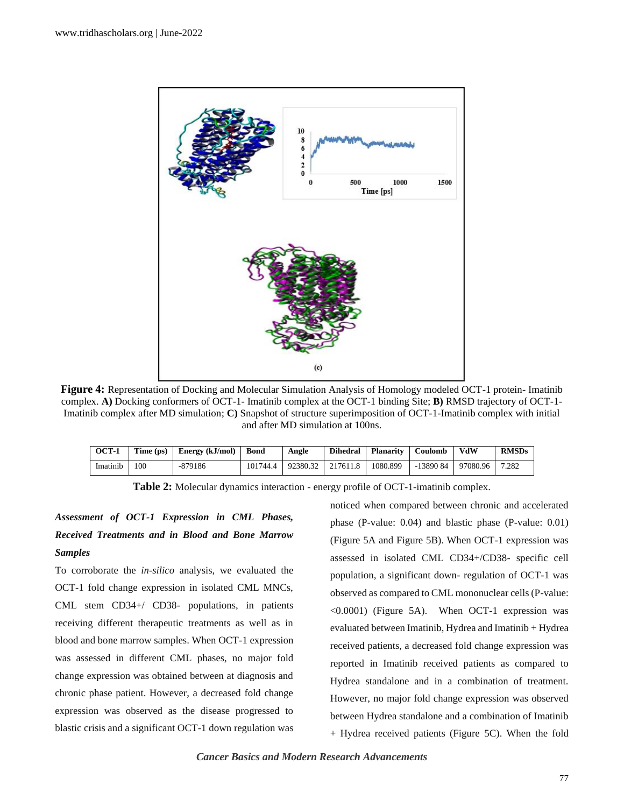

**Figure 4:** Representation of Docking and Molecular Simulation Analysis of Homology modeled OCT-1 protein- Imatinib complex. **A)** Docking conformers of OCT-1- Imatinib complex at the OCT-1 binding Site; **B)** RMSD trajectory of OCT-1- Imatinib complex after MD simulation; **C)** Snapshot of structure superimposition of OCT-1-Imatinib complex with initial and after MD simulation at 100ns.

| OCT-1    | Time (ps) | Energy (kJ/mol) Bond |          | Angle | <b>Dihedral</b>   | <b>Planarity</b> | Coulomb   | VdW      | <b>RMSDs</b> |
|----------|-----------|----------------------|----------|-------|-------------------|------------------|-----------|----------|--------------|
| Imatinib | 100       | -879186              | 101744.4 |       | 92380.32 217611.8 | 1080.899         | -13890 84 | 97080.96 | 7.282        |

**Table 2:** Molecular dynamics interaction - energy profile of OCT-1-imatinib complex.

# *Assessment of OCT-1 Expression in CML Phases, Received Treatments and in Blood and Bone Marrow Samples*

To corroborate the *in-silico* analysis, we evaluated the OCT-1 fold change expression in isolated CML MNCs, CML stem CD34+/ CD38- populations, in patients receiving different therapeutic treatments as well as in blood and bone marrow samples. When OCT-1 expression was assessed in different CML phases, no major fold change expression was obtained between at diagnosis and chronic phase patient. However, a decreased fold change expression was observed as the disease progressed to blastic crisis and a significant OCT-1 down regulation was noticed when compared between chronic and accelerated phase (P-value: 0.04) and blastic phase (P-value: 0.01) (Figure 5A and Figure 5B). When OCT-1 expression was assessed in isolated CML CD34+/CD38- specific cell population, a significant down- regulation of OCT-1 was observed as compared to CML mononuclear cells (P-value: <0.0001) (Figure 5A). When OCT-1 expression was evaluated between Imatinib, Hydrea and Imatinib + Hydrea received patients, a decreased fold change expression was reported in Imatinib received patients as compared to Hydrea standalone and in a combination of treatment. However, no major fold change expression was observed between Hydrea standalone and a combination of Imatinib + Hydrea received patients (Figure 5C). When the fold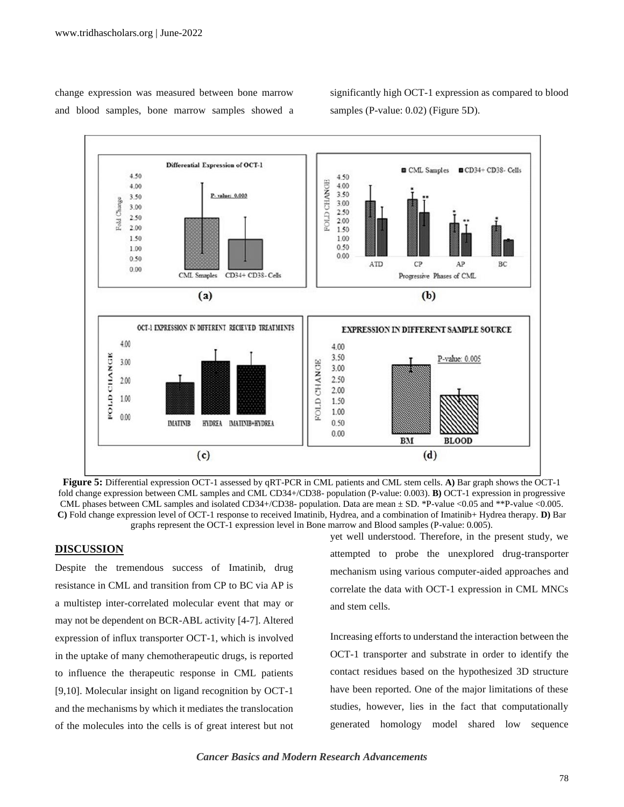change expression was measured between bone marrow and blood samples, bone marrow samples showed a significantly high OCT-1 expression as compared to blood samples (P-value: 0.02) (Figure 5D).



**Figure 5:** Differential expression OCT-1 assessed by qRT-PCR in CML patients and CML stem cells. **A)** Bar graph shows the OCT-1 fold change expression between CML samples and CML CD34+/CD38- population (P-value: 0.003). **B)** OCT-1 expression in progressive CML phases between CML samples and isolated CD34+/CD38- population. Data are mean ± SD. \*P-value <0.05 and \*\*P-value <0.005. **C)** Fold change expression level of OCT-1 response to received Imatinib, Hydrea, and a combination of Imatinib+ Hydrea therapy. **D)** Bar graphs represent the OCT-1 expression level in Bone marrow and Blood samples (P-value: 0.005).

# **DISCUSSION**

Despite the tremendous success of Imatinib, drug resistance in CML and transition from CP to BC via AP is a multistep inter-correlated molecular event that may or may not be dependent on BCR-ABL activity [4-7]. Altered expression of influx transporter OCT-1, which is involved in the uptake of many chemotherapeutic drugs, is reported to influence the therapeutic response in CML patients [9,10]. Molecular insight on ligand recognition by OCT-1 and the mechanisms by which it mediates the translocation of the molecules into the cells is of great interest but not yet well understood. Therefore, in the present study, we attempted to probe the unexplored drug-transporter mechanism using various computer-aided approaches and correlate the data with OCT-1 expression in CML MNCs and stem cells.

Increasing efforts to understand the interaction between the OCT-1 transporter and substrate in order to identify the contact residues based on the hypothesized 3D structure have been reported. One of the major limitations of these studies, however, lies in the fact that computationally generated homology model shared low sequence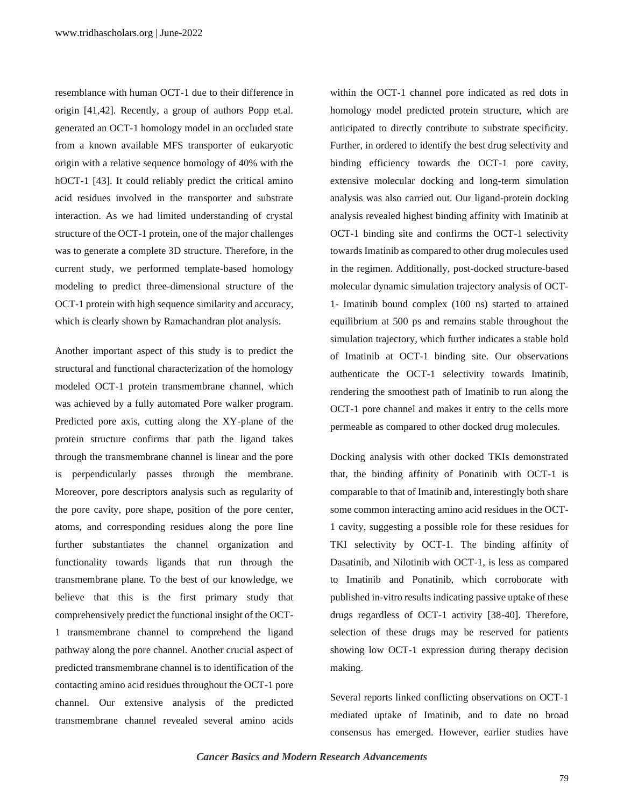resemblance with human OCT-1 due to their difference in origin [41,42]. Recently, a group of authors Popp et.al. generated an OCT-1 homology model in an occluded state from a known available MFS transporter of eukaryotic origin with a relative sequence homology of 40% with the hOCT-1 [43]. It could reliably predict the critical amino acid residues involved in the transporter and substrate interaction. As we had limited understanding of crystal structure of the OCT-1 protein, one of the major challenges was to generate a complete 3D structure. Therefore, in the current study, we performed template-based homology modeling to predict three-dimensional structure of the OCT-1 protein with high sequence similarity and accuracy, which is clearly shown by Ramachandran plot analysis.

Another important aspect of this study is to predict the structural and functional characterization of the homology modeled OCT-1 protein transmembrane channel, which was achieved by a fully automated Pore walker program. Predicted pore axis, cutting along the XY-plane of the protein structure confirms that path the ligand takes through the transmembrane channel is linear and the pore is perpendicularly passes through the membrane. Moreover, pore descriptors analysis such as regularity of the pore cavity, pore shape, position of the pore center, atoms, and corresponding residues along the pore line further substantiates the channel organization and functionality towards ligands that run through the transmembrane plane. To the best of our knowledge, we believe that this is the first primary study that comprehensively predict the functional insight of the OCT-1 transmembrane channel to comprehend the ligand pathway along the pore channel. Another crucial aspect of predicted transmembrane channel is to identification of the contacting amino acid residues throughout the OCT-1 pore channel. Our extensive analysis of the predicted transmembrane channel revealed several amino acids

within the OCT-1 channel pore indicated as red dots in homology model predicted protein structure, which are anticipated to directly contribute to substrate specificity. Further, in ordered to identify the best drug selectivity and binding efficiency towards the OCT-1 pore cavity, extensive molecular docking and long-term simulation analysis was also carried out. Our ligand-protein docking analysis revealed highest binding affinity with Imatinib at OCT-1 binding site and confirms the OCT-1 selectivity towards Imatinib as compared to other drug molecules used in the regimen. Additionally, post-docked structure-based molecular dynamic simulation trajectory analysis of OCT-1- Imatinib bound complex (100 ns) started to attained equilibrium at 500 ps and remains stable throughout the simulation trajectory, which further indicates a stable hold of Imatinib at OCT-1 binding site. Our observations authenticate the OCT-1 selectivity towards Imatinib, rendering the smoothest path of Imatinib to run along the OCT-1 pore channel and makes it entry to the cells more permeable as compared to other docked drug molecules.

Docking analysis with other docked TKIs demonstrated that, the binding affinity of Ponatinib with OCT-1 is comparable to that of Imatinib and, interestingly both share some common interacting amino acid residues in the OCT-1 cavity, suggesting a possible role for these residues for TKI selectivity by OCT-1. The binding affinity of Dasatinib, and Nilotinib with OCT-1, is less as compared to Imatinib and Ponatinib, which corroborate with published in-vitro results indicating passive uptake of these drugs regardless of OCT-1 activity [38-40]. Therefore, selection of these drugs may be reserved for patients showing low OCT-1 expression during therapy decision making.

Several reports linked conflicting observations on OCT-1 mediated uptake of Imatinib, and to date no broad consensus has emerged. However, earlier studies have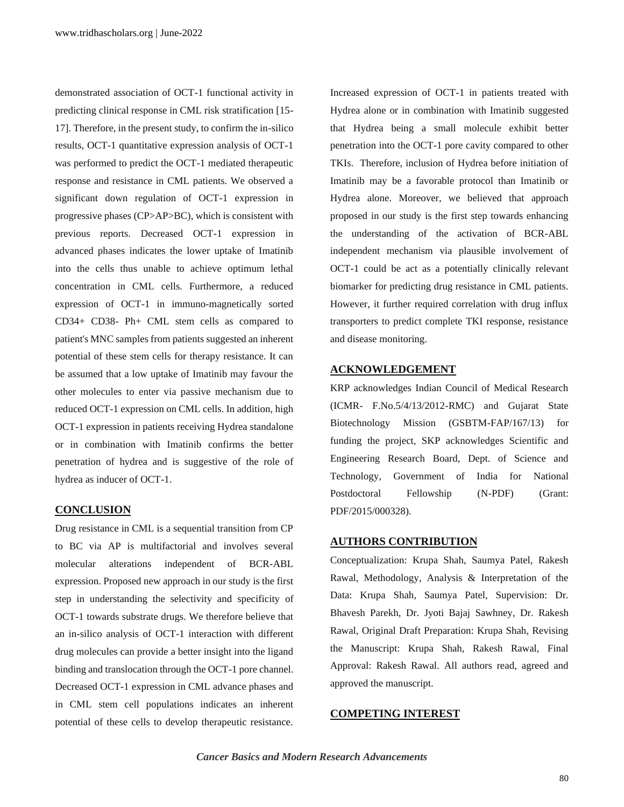demonstrated association of OCT-1 functional activity in predicting clinical response in CML risk stratification [15- 17]. Therefore, in the present study, to confirm the in-silico results, OCT-1 quantitative expression analysis of OCT-1 was performed to predict the OCT-1 mediated therapeutic response and resistance in CML patients. We observed a significant down regulation of OCT-1 expression in progressive phases (CP>AP>BC), which is consistent with previous reports. Decreased OCT-1 expression in advanced phases indicates the lower uptake of Imatinib into the cells thus unable to achieve optimum lethal concentration in CML cells. Furthermore, a reduced expression of OCT-1 in immuno-magnetically sorted CD34+ CD38- Ph+ CML stem cells as compared to patient's MNC samples from patients suggested an inherent potential of these stem cells for therapy resistance. It can be assumed that a low uptake of Imatinib may favour the other molecules to enter via passive mechanism due to reduced OCT-1 expression on CML cells. In addition, high OCT-1 expression in patients receiving Hydrea standalone or in combination with Imatinib confirms the better penetration of hydrea and is suggestive of the role of hydrea as inducer of OCT-1.

### **CONCLUSION**

Drug resistance in CML is a sequential transition from CP to BC via AP is multifactorial and involves several molecular alterations independent of BCR-ABL expression. Proposed new approach in our study is the first step in understanding the selectivity and specificity of OCT-1 towards substrate drugs. We therefore believe that an in-silico analysis of OCT-1 interaction with different drug molecules can provide a better insight into the ligand binding and translocation through the OCT-1 pore channel. Decreased OCT-1 expression in CML advance phases and in CML stem cell populations indicates an inherent potential of these cells to develop therapeutic resistance. Increased expression of OCT-1 in patients treated with Hydrea alone or in combination with Imatinib suggested that Hydrea being a small molecule exhibit better penetration into the OCT-1 pore cavity compared to other TKIs. Therefore, inclusion of Hydrea before initiation of Imatinib may be a favorable protocol than Imatinib or Hydrea alone. Moreover, we believed that approach proposed in our study is the first step towards enhancing the understanding of the activation of BCR-ABL independent mechanism via plausible involvement of OCT-1 could be act as a potentially clinically relevant biomarker for predicting drug resistance in CML patients. However, it further required correlation with drug influx transporters to predict complete TKI response, resistance and disease monitoring.

# **ACKNOWLEDGEMENT**

KRP acknowledges Indian Council of Medical Research (ICMR- F.No.5/4/13/2012-RMC) and Gujarat State Biotechnology Mission (GSBTM-FAP/167/13) for funding the project, SKP acknowledges Scientific and Engineering Research Board, Dept. of Science and Technology, Government of India for National Postdoctoral Fellowship (N-PDF) (Grant: PDF/2015/000328).

### **AUTHORS CONTRIBUTION**

Conceptualization: Krupa Shah, Saumya Patel, Rakesh Rawal, Methodology, Analysis & Interpretation of the Data: Krupa Shah, Saumya Patel, Supervision: Dr. Bhavesh Parekh, Dr. Jyoti Bajaj Sawhney, Dr. Rakesh Rawal, Original Draft Preparation: Krupa Shah, Revising the Manuscript: Krupa Shah, Rakesh Rawal, Final Approval: Rakesh Rawal. All authors read, agreed and approved the manuscript.

### **COMPETING INTEREST**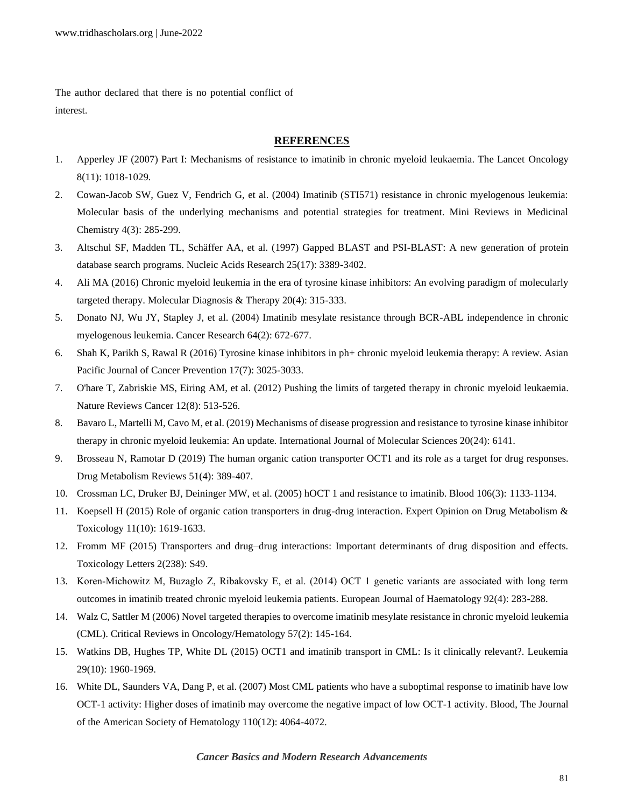The author declared that there is no potential conflict of interest.

# **REFERENCES**

- 1. [Apperley JF \(2007\) Part I: Mechanisms of resistance to imatinib in chronic myeloid leukaemia. The Lancet](https://www.sciencedirect.com/science/article/pii/S147020450770342X) Oncology [8\(11\): 1018-1029.](https://www.sciencedirect.com/science/article/pii/S147020450770342X)
- 2. [Cowan-Jacob SW, Guez V, Fendrich G, et al. \(2004\) Imatinib \(STI571\) resistance in chronic myelogenous leukemia:](https://www.ingentaconnect.com/content/ben/mrmc/2004/00000004/00000003/art00005)  [Molecular basis of the underlying mechanisms and potential strategies for treatment. Mini Reviews in Medicinal](https://www.ingentaconnect.com/content/ben/mrmc/2004/00000004/00000003/art00005)  [Chemistry 4\(3\): 285-299.](https://www.ingentaconnect.com/content/ben/mrmc/2004/00000004/00000003/art00005)
- 3. [Altschul SF, Madden TL, Schäffer AA, et al. \(1997\) Gapped BLAST and PSI-BLAST: A new generation of protein](https://academic.oup.com/nar/article-abstract/25/17/3389/1061651)  [database search programs. Nucleic Acids Research 25\(17\): 3389-3402.](https://academic.oup.com/nar/article-abstract/25/17/3389/1061651)
- 4. [Ali MA \(2016\) Chronic myeloid leukemia in the era of tyrosine kinase inhibitors: An evolving paradigm of molecularly](https://link.springer.com/article/10.1007/s40291-016-0208-1)  [targeted therapy. Molecular Diagnosis & Therapy 20\(4\): 315-333.](https://link.springer.com/article/10.1007/s40291-016-0208-1)
- 5. Donato NJ, Wu JY, Stapley [J, et al. \(2004\) Imatinib mesylate resistance through BCR-ABL independence in chronic](https://cancerres.aacrjournals.org/content/64/2/672.short)  [myelogenous leukemia. Cancer Research 64\(2\): 672-677.](https://cancerres.aacrjournals.org/content/64/2/672.short)
- 6. [Shah K, Parikh S, Rawal R \(2016\) Tyrosine kinase inhibitors in ph+ chronic myeloid leukemia therapy: A review. Asian](http://journal.waocp.org/article_32470.html)  [Pacific Journal of Cancer Prevention 17\(7\): 3025-3033.](http://journal.waocp.org/article_32470.html)
- 7. [O'hare T, Zabriskie MS, Eiring AM, et al. \(2012\) Pushing the limits of targeted therapy in chronic myeloid leukaemia.](https://www.nature.com/articles/nrc3317)  [Nature Reviews Cancer 12\(8\): 513-526.](https://www.nature.com/articles/nrc3317)
- 8. [Bavaro L, Martelli M, Cavo M, et al. \(2019\) Mechanisms of disease progression and resistance to tyrosine kinase inhibitor](https://www.mdpi.com/589358)  [therapy in chronic myeloid leukemia: An update. International Journal of Molecular Sciences 20\(24\): 6141.](https://www.mdpi.com/589358)
- 9. [Brosseau N, Ramotar D \(2019\) The human organic cation transporter OCT1 and its role as a target for drug responses.](https://www.tandfonline.com/doi/abs/10.1080/03602532.2019.1670204)  [Drug Metabolism Reviews 51\(4\): 389-407.](https://www.tandfonline.com/doi/abs/10.1080/03602532.2019.1670204)
- 10. [Crossman LC, Druker BJ, Deininger MW, et al. \(2005\) hOCT 1 and resistance to imatinib. Blood 106\(3\): 1133-1134.](https://ashpublications.org/blood/article-abstract/106/3/1133/21896)
- 11. [Koepsell H \(2015\) Role of organic cation transporters in drug-drug interaction. Expert Opinion on Drug Metabolism &](https://www.tandfonline.com/doi/abs/10.1517/17425255.2015.1069274)  [Toxicology 11\(10\): 1619-1633.](https://www.tandfonline.com/doi/abs/10.1517/17425255.2015.1069274)
- 12. [Fromm MF \(2015\) Transporters and drug–drug interactions: Important determinants of drug disposition and effects.](https://www.infona.pl/resource/bwmeta1.element.elsevier-61cf03e6-5aef-382f-9a0e-32982d4897f2)  [Toxicology Letters 2\(238\): S49.](https://www.infona.pl/resource/bwmeta1.element.elsevier-61cf03e6-5aef-382f-9a0e-32982d4897f2)
- 13. [Koren‐Michowitz M, Buzaglo Z, Ribakovsky E, et al. \(2014\) OCT 1 genetic variants are associated with long term](https://onlinelibrary.wiley.com/doi/abs/10.1111/ejh.12235)  [outcomes in imatinib treated chronic myeloid leukemia patients. European Journal of Haematology 92\(4\): 283-288.](https://onlinelibrary.wiley.com/doi/abs/10.1111/ejh.12235)
- 14. [Walz C, Sattler M \(2006\) Novel targeted therapies to overcome imatinib mesylate resistance in chronic myeloid leukemia](https://www.sciencedirect.com/science/article/pii/S1040842805001459)  [\(CML\). Critical Reviews in Oncology/Hematology 57\(2\): 145-164.](https://www.sciencedirect.com/science/article/pii/S1040842805001459)
- 15. [Watkins DB, Hughes TP, White DL \(2015\) OCT1 and imatinib transport in CML: Is it clinically relevant?. Leukemia](https://www.nature.com/articles/leu2015170)  [29\(10\): 1960-1969.](https://www.nature.com/articles/leu2015170)
- 16. [White DL, Saunders VA, Dang P, et al. \(2007\) Most CML patients who have a suboptimal response to imatinib have low](https://ashpublications.org/blood/article-abstract/110/12/4064/23602)  [OCT-1 activity: Higher doses of imatinib may overcome the negative impact of low OCT-1 activity. Blood, The Journal](https://ashpublications.org/blood/article-abstract/110/12/4064/23602)  [of the American Society of Hematology 110\(12\): 4064-4072.](https://ashpublications.org/blood/article-abstract/110/12/4064/23602)

# *Cancer Basics and Modern Research Advancements*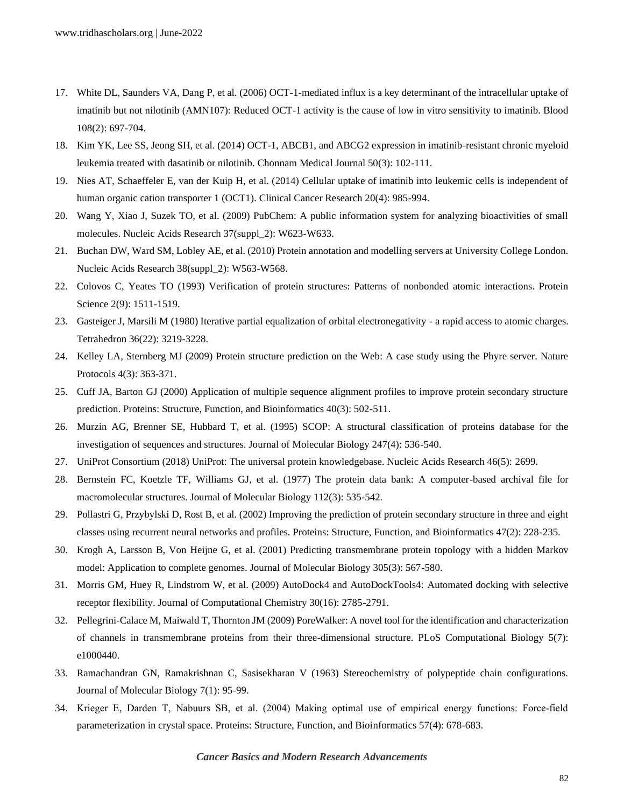- 17. [White DL, Saunders VA, Dang P, et al. \(2006\) OCT-1-mediated influx is a key determinant of the intracellular uptake of](https://ashpublications.org/blood/article-abstract/108/2/697/109902)  [imatinib but not nilotinib \(AMN107\): Reduced OCT-1 activity is the cause of low in vitro sensitivity to imatinib. Blood](https://ashpublications.org/blood/article-abstract/108/2/697/109902)  [108\(2\): 697-704.](https://ashpublications.org/blood/article-abstract/108/2/697/109902)
- 18. [Kim YK, Lee SS, Jeong SH, et al. \(2014\) OCT-1, ABCB1, and ABCG2 expression in imatinib-resistant chronic myeloid](https://synapse.koreamed.org/articles/1074908)  [leukemia treated with dasatinib or nilotinib. Chonnam Medical Journal 50\(3\): 102-111.](https://synapse.koreamed.org/articles/1074908)
- 19. [Nies AT, Schaeffeler E, van der Kuip H, et al. \(2014\) Cellular uptake of imatinib into leukemic cells is independent of](https://clincancerres.aacrjournals.org/content/20/4/985.short)  [human organic cation transporter 1 \(OCT1\). Clinical Cancer Research 20\(4\): 985-994.](https://clincancerres.aacrjournals.org/content/20/4/985.short)
- 20. [Wang Y, Xiao J, Suzek TO, et al. \(2009\) PubChem: A public information system for analyzing bioactivities of small](https://academic.oup.com/nar/article-abstract/37/suppl_2/W623/1155303)  [molecules. Nucleic Acids Research 37\(suppl\\_2\): W623-W633.](https://academic.oup.com/nar/article-abstract/37/suppl_2/W623/1155303)
- 21. [Buchan DW, Ward SM, Lobley AE, et al. \(2010\) Protein annotation and modelling servers at University College London.](https://academic.oup.com/nar/article-abstract/38/suppl_2/W563/1111463)  [Nucleic Acids Research 38\(suppl\\_2\): W563-W568.](https://academic.oup.com/nar/article-abstract/38/suppl_2/W563/1111463)
- 22. [Colovos C, Yeates TO \(1993\) Verification of protein structures: Patterns of nonbonded atomic interactions. Protein](https://onlinelibrary.wiley.com/doi/abs/10.1002/pro.5560020916)  [Science 2\(9\): 1511-1519.](https://onlinelibrary.wiley.com/doi/abs/10.1002/pro.5560020916)
- 23. [Gasteiger J, Marsili M \(1980\) Iterative partial equalization of orbital electronegativity -](https://www.sciencedirect.com/science/article/pii/0040402080801682) a rapid access to atomic charges. [Tetrahedron 36\(22\): 3219-3228.](https://www.sciencedirect.com/science/article/pii/0040402080801682)
- 24. [Kelley LA, Sternberg MJ \(2009\) Protein structure prediction on the Web: A case study using the Phyre server. Nature](https://www.nature.com/articles/nprot.2009.2)  [Protocols 4\(3\): 363-371.](https://www.nature.com/articles/nprot.2009.2)
- 25. [Cuff JA, Barton GJ \(2000\) Application of multiple sequence alignment profiles to improve protein secondary structure](https://onlinelibrary.wiley.com/doi/abs/10.1002/1097-0134(20000815)40:3%3C502::AID-PROT170%3E3.0.CO;2-Q)  prediction. Proteins: [Structure, Function, and Bioinformatics 40\(3\): 502-511.](https://onlinelibrary.wiley.com/doi/abs/10.1002/1097-0134(20000815)40:3%3C502::AID-PROT170%3E3.0.CO;2-Q)
- 26. [Murzin AG, Brenner SE, Hubbard T, et al. \(1995\) SCOP: A structural classification of proteins database for the](https://www.sciencedirect.com/science/article/pii/S0022283605801342)  [investigation of sequences and structures. Journal of Molecular Biology 247\(4\): 536-540.](https://www.sciencedirect.com/science/article/pii/S0022283605801342)
- 27. [UniProt Consortium \(2018\) UniProt: The universal protein knowledgebase. Nucleic Acids Research 46\(5\):](https://www.ncbi.nlm.nih.gov/pmc/articles/pmc5861450/) 2699.
- 28. [Bernstein FC, Koetzle TF, Williams GJ, et al. \(1977\) The protein data bank: A computer-based archival file for](https://www.sciencedirect.com/science/article/pii/S0022283677802003)  [macromolecular structures. Journal of Molecular Biology 112\(3\): 535-542.](https://www.sciencedirect.com/science/article/pii/S0022283677802003)
- 29. [Pollastri G, Przybylski D, Rost B, et al. \(2002\) Improving the prediction of protein secondary structure in three and eight](https://onlinelibrary.wiley.com/doi/abs/10.1002/prot.10082)  [classes using recurrent neural networks and profiles. Proteins: Structure, Function, and Bioinformatics 47\(2\): 228-235.](https://onlinelibrary.wiley.com/doi/abs/10.1002/prot.10082)
- 30. [Krogh A, Larsson B, Von Heijne G, et al. \(2001\) Predicting transmembrane protein topology with a hidden Markov](https://www.sciencedirect.com/science/article/pii/S0022283600943158)  [model: Application to complete genomes. Journal of Molecular Biology 305\(3\): 567-580.](https://www.sciencedirect.com/science/article/pii/S0022283600943158)
- 31. [Morris GM, Huey R, Lindstrom W, et al. \(2009\) AutoDock4 and AutoDockTools4:](https://onlinelibrary.wiley.com/doi/abs/10.1002/jcc.21256) Automated docking with selective [receptor flexibility. Journal of Computational Chemistry 30\(16\): 2785-2791.](https://onlinelibrary.wiley.com/doi/abs/10.1002/jcc.21256)
- 32. [Pellegrini-Calace M, Maiwald T, Thornton JM \(2009\) PoreWalker: A novel tool for the identification and characterization](https://journals.plos.org/ploscompbiol/article?id=10.1371/journal.pcbi.1000440)  [of channels in transmembrane proteins from their three-dimensional structure. PLoS Computational Biology 5\(7\):](https://journals.plos.org/ploscompbiol/article?id=10.1371/journal.pcbi.1000440)  [e1000440.](https://journals.plos.org/ploscompbiol/article?id=10.1371/journal.pcbi.1000440)
- 33. [Ramachandran GN, Ramakrishnan C, Sasisekharan V \(1963\) Stereochemistry of polypeptide chain configurations.](https://millhauser.chemistry.ucsc.edu/courses/Chem_200B_papers_handouts_2008/Ramachandran.pdf)  [Journal of Molecular Biology 7\(1\): 95-99.](https://millhauser.chemistry.ucsc.edu/courses/Chem_200B_papers_handouts_2008/Ramachandran.pdf)
- 34. [Krieger E, Darden T, Nabuurs SB, et al. \(2004\) Making optimal use of empirical energy functions: Force‐field](https://onlinelibrary.wiley.com/doi/abs/10.1002/prot.20251)  [parameterization in crystal space. Proteins: Structure, Function, and Bioinformatics 57\(4\): 678-683.](https://onlinelibrary.wiley.com/doi/abs/10.1002/prot.20251)